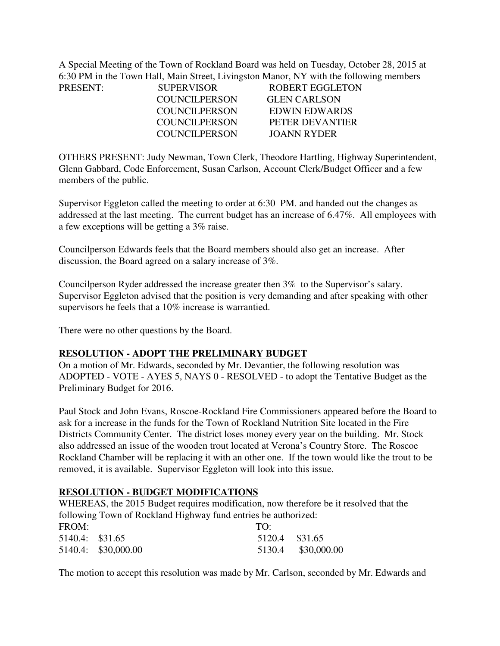A Special Meeting of the Town of Rockland Board was held on Tuesday, October 28, 2015 at 6:30 PM in the Town Hall, Main Street, Livingston Manor, NY with the following members PRESENT:

| PRESENT: | <b>SUPERVISOR</b> | <b>ROBERT EGGLETON</b> |  |
|----------|-------------------|------------------------|--|
|          | COUNCIL PERSON    | <b>GLEN CARLSON</b>    |  |
|          | COUNCILPERSON     | EDWIN EDWARDS          |  |
|          | COUNCIL PERSON    | PETER DEVANTIER        |  |
|          | COUNCIL PERSON    | JOANN RYDER            |  |
|          |                   |                        |  |

OTHERS PRESENT: Judy Newman, Town Clerk, Theodore Hartling, Highway Superintendent, Glenn Gabbard, Code Enforcement, Susan Carlson, Account Clerk/Budget Officer and a few members of the public.

Supervisor Eggleton called the meeting to order at 6:30 PM. and handed out the changes as addressed at the last meeting. The current budget has an increase of 6.47%. All employees with a few exceptions will be getting a 3% raise.

Councilperson Edwards feels that the Board members should also get an increase. After discussion, the Board agreed on a salary increase of 3%.

Councilperson Ryder addressed the increase greater then 3% to the Supervisor's salary. Supervisor Eggleton advised that the position is very demanding and after speaking with other supervisors he feels that a 10% increase is warrantied.

There were no other questions by the Board.

## **RESOLUTION - ADOPT THE PRELIMINARY BUDGET**

On a motion of Mr. Edwards, seconded by Mr. Devantier, the following resolution was ADOPTED - VOTE - AYES 5, NAYS 0 - RESOLVED - to adopt the Tentative Budget as the Preliminary Budget for 2016.

Paul Stock and John Evans, Roscoe-Rockland Fire Commissioners appeared before the Board to ask for a increase in the funds for the Town of Rockland Nutrition Site located in the Fire Districts Community Center. The district loses money every year on the building. Mr. Stock also addressed an issue of the wooden trout located at Verona's Country Store. The Roscoe Rockland Chamber will be replacing it with an other one. If the town would like the trout to be removed, it is available. Supervisor Eggleton will look into this issue.

## **RESOLUTION - BUDGET MODIFICATIONS**

WHEREAS, the 2015 Budget requires modification, now therefore be it resolved that the following Town of Rockland Highway fund entries be authorized:

| FROM:           |                     | TO:            |                    |
|-----------------|---------------------|----------------|--------------------|
| 5140.4: \$31.65 |                     | 5120.4 \$31.65 |                    |
|                 | 5140.4: \$30,000.00 |                | 5130.4 \$30,000.00 |

The motion to accept this resolution was made by Mr. Carlson, seconded by Mr. Edwards and